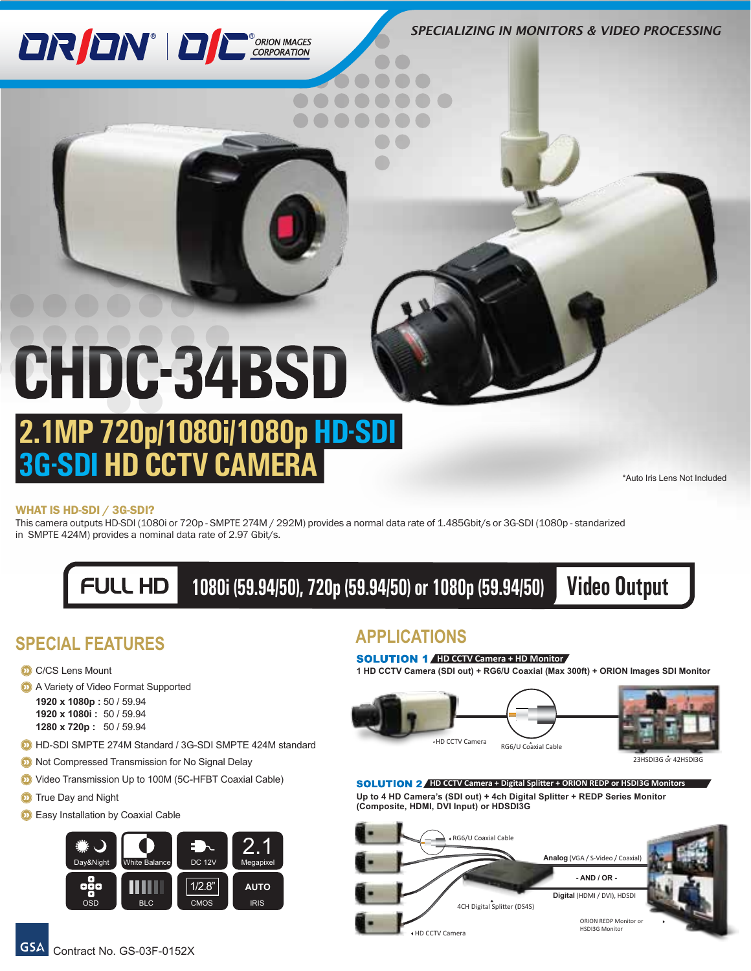*SPECIALIZING IN MONITORS & VIDEO PROCESSING*

# **DRION** DE CORPORATION

# CHDC-34BSD

## **2.1MP 720p/1080i/1080p HD-SDI 3G-SDI HD CCTV CAMERA**

\*Auto Iris Lens Not Included

#### WHAT IS HD-SDI / 3G-SDI?

This camera outputs HD-SDI (1080i or 720p - SMPTE 274M / 292M) provides a normal data rate of 1.485Gbit/s or 3G-SDI (1080p - standarized in SMPTE 424M) provides a nominal data rate of 2.97 Gbit/s.

> $FULL HD$  **1080i (59.94/50), 720p (59.94/50) or 1080p (59.94/50) Video Output**

## **SPECIAL FEATURES APPLICATIONS**

- C/CS Lens Mount
- **A** Variety of Video Format Supported

```
1920 x 1080p : 50 / 59.94
1920 x 1080i : 50 / 59.94
1280 x 720p : 50 / 59.94
```
- **D** HD-SDI SMPTE 274M Standard / 3G-SDI SMPTE 424M standard
- **2** Not Compressed Transmission for No Signal Delay
- **D** Video Transmission Up to 100M (5C-HFBT Coaxial Cable)
- **D** True Day and Night
- **D** Easy Installation by Coaxial Cable



#### **SOLUTION 1** HD CCTV Camera + HD Monitor

**1 HD CCTV Camera (SDI out) + RG6/U Coaxial (Max 300ft) + ORION Images SDI Monitor**





23HSDI3G or 42HSDI3G

**Up to 4 HD Camera's (SDI out) + 4ch Digital Splitter + REDP Series Monitor (Composite, HDMI, DVI Input) or HDSDI3G SOLUTION 2** HD CCTV Camera + Digital Splitter + ORION REDP or HSDI3G Monitors